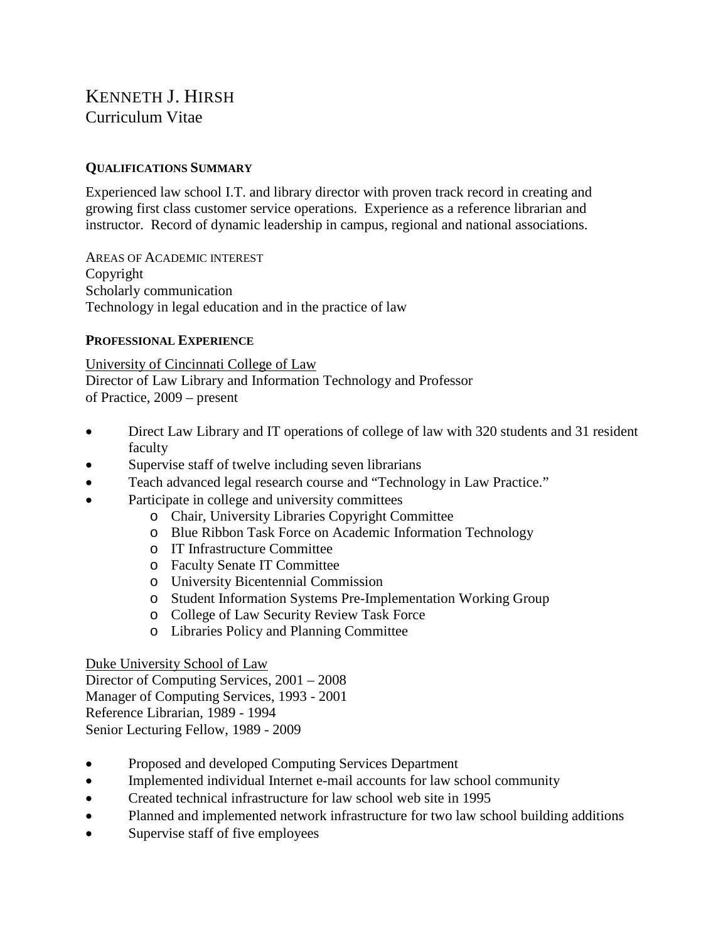# KENNETH J. HIRSH Curriculum Vitae

# **QUALIFICATIONS SUMMARY**

Experienced law school I.T. and library director with proven track record in creating and growing first class customer service operations. Experience as a reference librarian and instructor. Record of dynamic leadership in campus, regional and national associations.

AREAS OF ACADEMIC INTEREST Copyright Scholarly communication Technology in legal education and in the practice of law

## **PROFESSIONAL EXPERIENCE**

University of Cincinnati College of Law Director of Law Library and Information Technology and Professor of Practice, 2009 – present

- Direct Law Library and IT operations of college of law with 320 students and 31 resident faculty
- Supervise staff of twelve including seven librarians
- Teach advanced legal research course and "Technology in Law Practice."
- Participate in college and university committees
	- o Chair, University Libraries Copyright Committee
	- o Blue Ribbon Task Force on Academic Information Technology
	- o IT Infrastructure Committee
	- o Faculty Senate IT Committee
	- o University Bicentennial Commission
	- o Student Information Systems Pre-Implementation Working Group
	- o College of Law Security Review Task Force
	- o Libraries Policy and Planning Committee

## Duke University School of Law

Director of Computing Services, 2001 – 2008 Manager of Computing Services, 1993 - 2001 Reference Librarian, 1989 - 1994 Senior Lecturing Fellow, 1989 - 2009

- Proposed and developed Computing Services Department
- Implemented individual Internet e-mail accounts for law school community
- Created technical infrastructure for law school web site in 1995
- Planned and implemented network infrastructure for two law school building additions
- Supervise staff of five employees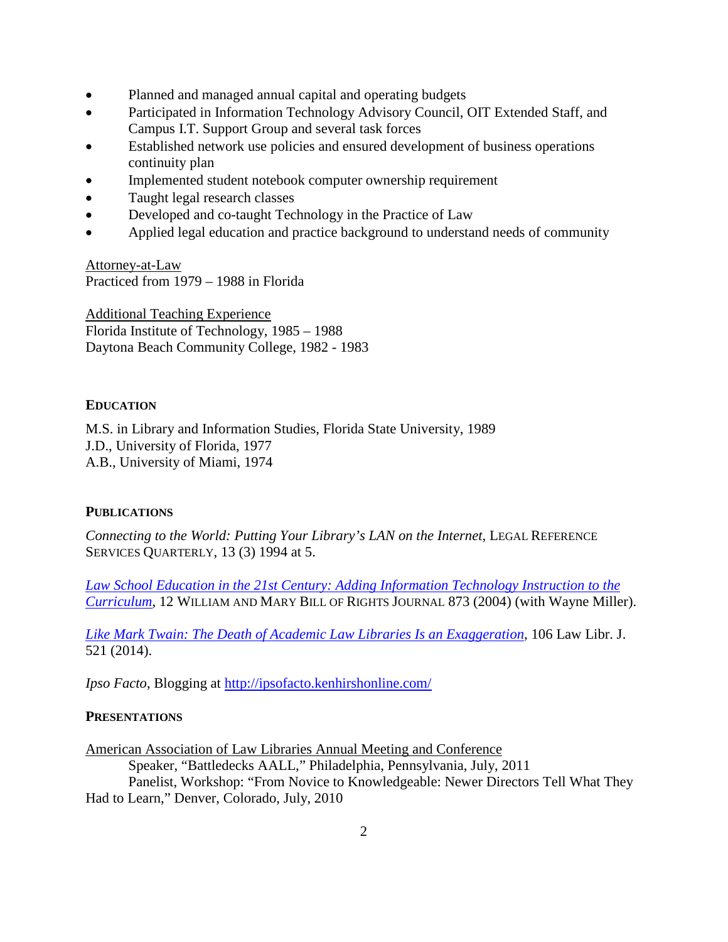- Planned and managed annual capital and operating budgets
- Participated in Information Technology Advisory Council, OIT Extended Staff, and Campus I.T. Support Group and several task forces
- Established network use policies and ensured development of business operations continuity plan
- Implemented student notebook computer ownership requirement
- Taught legal research classes
- Developed and co-taught Technology in the Practice of Law
- Applied legal education and practice background to understand needs of community

Attorney-at-Law Practiced from 1979 – 1988 in Florida

Additional Teaching Experience Florida Institute of Technology, 1985 – 1988 Daytona Beach Community College, 1982 - 1983

## **EDUCATION**

M.S. in Library and Information Studies, Florida State University, 1989 J.D., University of Florida, 1977 A.B., University of Miami, 1974

## **PUBLICATIONS**

*Connecting to the World: Putting Your Library's LAN on the Internet*, LEGAL REFERENCE SERVICES OUARTERLY, 13 (3) 1994 at 5.

*[Law School Education in the 21st Century: Adding Information Technology Instruction to the](http://scholarship.law.uc.edu/fac_pubs/176/)  [Curriculum](http://scholarship.law.uc.edu/fac_pubs/176/)*, 12 WILLIAM AND MARY BILL OF RIGHTS JOURNAL 873 (2004) (with Wayne Miller).

*[Like Mark Twain: The Death of Academic Law Libraries Is an Exaggeration](http://scholarship.law.uc.edu/fac_pubs/244/)*, 106 Law Libr. J. 521 (2014).

*Ipso Facto*, Blogging at<http://ipsofacto.kenhirshonline.com/>

## **PRESENTATIONS**

American Association of Law Libraries Annual Meeting and Conference Speaker, "Battledecks AALL," Philadelphia, Pennsylvania, July, 2011 Panelist, Workshop: "From Novice to Knowledgeable: Newer Directors Tell What They Had to Learn," Denver, Colorado, July, 2010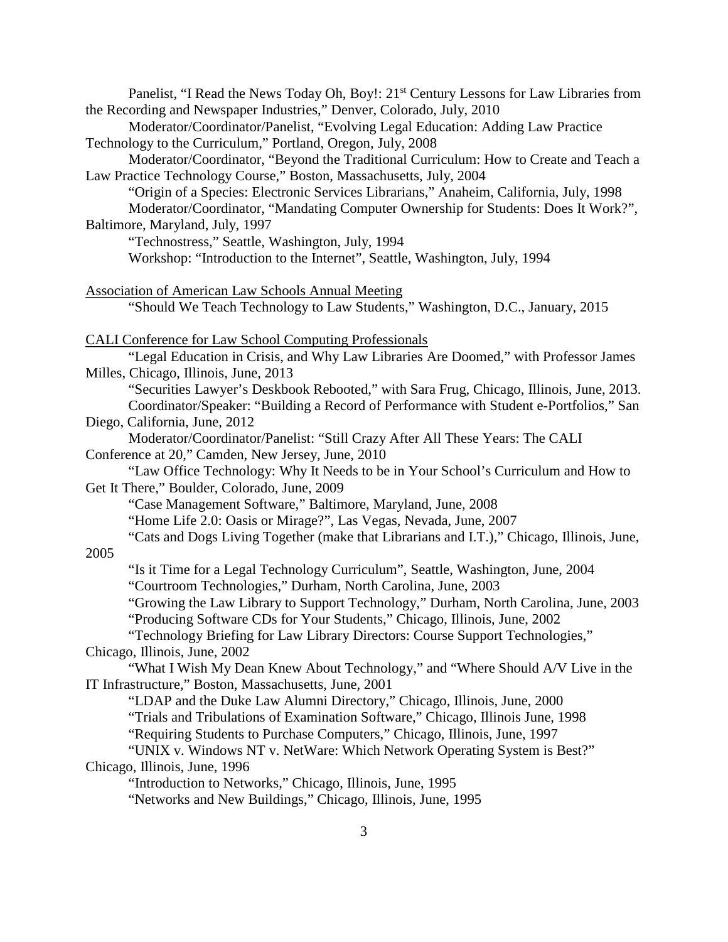| Panelist, "I Read the News Today Oh, Boy!: 21 <sup>st</sup> Century Lessons for Law Libraries from                                                               |
|------------------------------------------------------------------------------------------------------------------------------------------------------------------|
| the Recording and Newspaper Industries," Denver, Colorado, July, 2010                                                                                            |
| Moderator/Coordinator/Panelist, "Evolving Legal Education: Adding Law Practice                                                                                   |
| Technology to the Curriculum," Portland, Oregon, July, 2008                                                                                                      |
| Moderator/Coordinator, "Beyond the Traditional Curriculum: How to Create and Teach a                                                                             |
| Law Practice Technology Course," Boston, Massachusetts, July, 2004                                                                                               |
| "Origin of a Species: Electronic Services Librarians," Anaheim, California, July, 1998                                                                           |
| Moderator/Coordinator, "Mandating Computer Ownership for Students: Does It Work?",                                                                               |
| Baltimore, Maryland, July, 1997                                                                                                                                  |
| "Technostress," Seattle, Washington, July, 1994                                                                                                                  |
| Workshop: "Introduction to the Internet", Seattle, Washington, July, 1994                                                                                        |
| <b>Association of American Law Schools Annual Meeting</b>                                                                                                        |
| "Should We Teach Technology to Law Students," Washington, D.C., January, 2015                                                                                    |
|                                                                                                                                                                  |
| <b>CALI Conference for Law School Computing Professionals</b>                                                                                                    |
| "Legal Education in Crisis, and Why Law Libraries Are Doomed," with Professor James                                                                              |
| Milles, Chicago, Illinois, June, 2013                                                                                                                            |
| "Securities Lawyer's Deskbook Rebooted," with Sara Frug, Chicago, Illinois, June, 2013.                                                                          |
| Coordinator/Speaker: "Building a Record of Performance with Student e-Portfolios," San                                                                           |
| Diego, California, June, 2012                                                                                                                                    |
| Moderator/Coordinator/Panelist: "Still Crazy After All These Years: The CALI                                                                                     |
| Conference at 20," Camden, New Jersey, June, 2010                                                                                                                |
| "Law Office Technology: Why It Needs to be in Your School's Curriculum and How to                                                                                |
| Get It There," Boulder, Colorado, June, 2009                                                                                                                     |
| "Case Management Software," Baltimore, Maryland, June, 2008                                                                                                      |
| "Home Life 2.0: Oasis or Mirage?", Las Vegas, Nevada, June, 2007                                                                                                 |
| "Cats and Dogs Living Together (make that Librarians and I.T.)," Chicago, Illinois, June,                                                                        |
| 2005                                                                                                                                                             |
| "Is it Time for a Legal Technology Curriculum", Seattle, Washington, June, 2004                                                                                  |
| "Courtroom Technologies," Durham, North Carolina, June, 2003                                                                                                     |
| "Growing the Law Library to Support Technology," Durham, North Carolina, June, 2003<br>"Producing Software CDs for Your Students," Chicago, Illinois, June, 2002 |
| "Technology Briefing for Law Library Directors: Course Support Technologies,"                                                                                    |
| Chicago, Illinois, June, 2002                                                                                                                                    |
| "What I Wish My Dean Knew About Technology," and "Where Should A/V Live in the                                                                                   |
| IT Infrastructure," Boston, Massachusetts, June, 2001                                                                                                            |
| "LDAP and the Duke Law Alumni Directory," Chicago, Illinois, June, 2000                                                                                          |
| "Trials and Tribulations of Examination Software," Chicago, Illinois June, 1998                                                                                  |
| "Requiring Students to Purchase Computers," Chicago, Illinois, June, 1997                                                                                        |
| "UNIX v. Windows NT v. NetWare: Which Network Operating System is Best?"                                                                                         |
| Chicago, Illinois, June, 1996                                                                                                                                    |
| "Introduction to Networks," Chicago, Illinois, June, 1995                                                                                                        |
| "Networks and New Buildings," Chicago, Illinois, June, 1995                                                                                                      |
|                                                                                                                                                                  |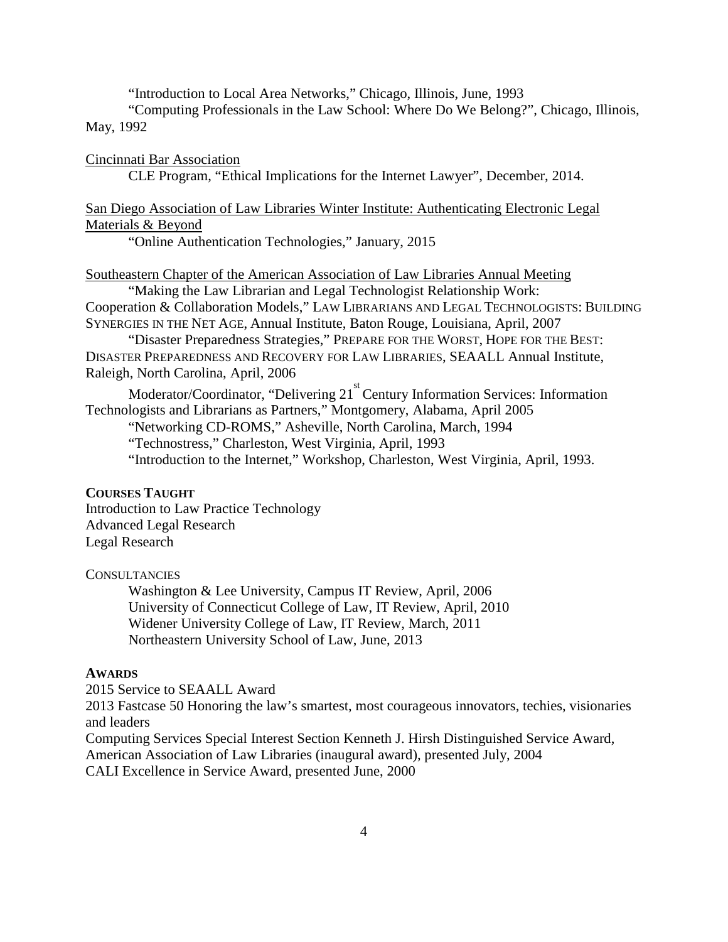"Introduction to Local Area Networks," Chicago, Illinois, June, 1993

"Computing Professionals in the Law School: Where Do We Belong?", Chicago, Illinois, May, 1992

Cincinnati Bar Association

CLE Program, "Ethical Implications for the Internet Lawyer", December, 2014.

San Diego Association of Law Libraries Winter Institute: Authenticating Electronic Legal Materials & Beyond

"Online Authentication Technologies," January, 2015

Southeastern Chapter of the American Association of Law Libraries Annual Meeting

"Making the Law Librarian and Legal Technologist Relationship Work: Cooperation & Collaboration Models," LAW LIBRARIANS AND LEGAL TECHNOLOGISTS: BUILDING SYNERGIES IN THE NET AGE, Annual Institute, Baton Rouge, Louisiana, April, 2007

"Disaster Preparedness Strategies," PREPARE FOR THE WORST, HOPE FOR THE BEST: DISASTER PREPAREDNESS AND RECOVERY FOR LAW LIBRARIES, SEAALL Annual Institute, Raleigh, North Carolina, April, 2006

Moderator/Coordinator, "Delivering 21<sup>st</sup> Century Information Services: Information Technologists and Librarians as Partners," Montgomery, Alabama, April 2005

"Networking CD-ROMS," Asheville, North Carolina, March, 1994

"Technostress," Charleston, West Virginia, April, 1993

"Introduction to the Internet," Workshop, Charleston, West Virginia, April, 1993.

#### **COURSES TAUGHT**

Introduction to Law Practice Technology Advanced Legal Research Legal Research

#### **CONSULTANCIES**

Washington & Lee University, Campus IT Review, April, 2006 University of Connecticut College of Law, IT Review, April, 2010 Widener University College of Law, IT Review, March, 2011 Northeastern University School of Law, June, 2013

#### **AWARDS**

2015 Service to SEAALL Award

2013 Fastcase 50 Honoring the law's smartest, most courageous innovators, techies, visionaries and leaders

Computing Services Special Interest Section Kenneth J. Hirsh Distinguished Service Award, American Association of Law Libraries (inaugural award), presented July, 2004 CALI Excellence in Service Award, presented June, 2000